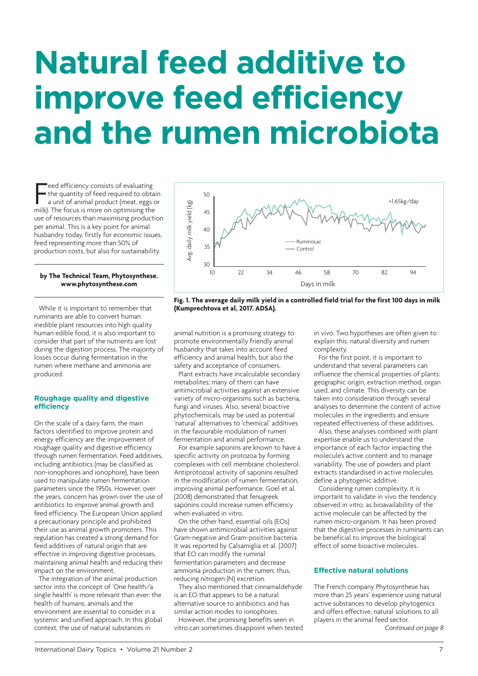# **Natural feed additive to improve feed efficiency and the rumen microbiota**

Feed efficiency consists of evaluating<br>the quantity of feed required to obta<br>a unit of animal product (meat, eggs of<br>milk). The focus is more on optimising the eed efficiency consists of evaluating the quantity of feed required to obtain a unit of animal product (meat, eggs or use of resources than maximising production per animal. This is a key point for animal husbandry today, firstly for economic issues, feed representing more than 50% of production costs, but also for sustainability.

#### **by The Technical Team, Phytosynthese. www.phytosynthese.com**

While it is important to remember that ruminants are able to convert human inedible [plant resources into high qu](http://www.phytosynthese.com)ality human edible food, it is also important to consider that part of the nutrients are lost during the digestion process. The majority of losses occur during fermentation in the rumen where methane and ammonia are produced.

### **Roughage quality and digestive efficiency**

On the scale of a dairy farm, the main factors identified to improve protein and energy efficiency are the improvement of roughage quality and digestive efficiency through rumen fermentation. Feed additives, including antibiotics (may be classified as non-ionophores and ionophore), have been used to manipulate rumen fermentation parameters since the 1950s. However, over the years, concern has grown over the use of antibiotics to improve animal growth and feed efficiency. The European Union applied a precautionary principle and prohibited their use as animal growth promoters. This regulation has created a strong demand for feed additives of natural origin that are effective in improving digestive processes, maintaining animal health and reducing their impact on the environment.

The integration of the animal production sector into the concept of 'One health/a single health' is more relevant than ever: the health of humans, animals and the environment are essential to consider in a systemic and unified approach. In this global context, the use of natural substances in



**Fig. 1. The average daily milk yield in a controlled field trial for the first 100 days in milk (Kumprechtova et al, 2017. ADSA).**

animal nutrition is a promising strategy to promote environmentally friendly animal husbandry that takes into account feed efficiency and animal health, but also the safety and acceptance of consumers.

Plant extracts have incalculable secondary metabolites; many of them can have antimicrobial activities against an extensive variety of micro-organisms such as bacteria, fungi and viruses. Also, several bioactive phytochemicals, may be used as potential 'natural' alternatives to 'chemical' additives in the favourable modulation of rumen fermentation and animal performance.

For example saponins are known to have a specific activity on protozoa by forming complexes with cell membrane cholesterol. Antiprotozoal activity of saponins resulted in the modification of rumen fermentation, improving animal performance. Goel et al. (2008) demonstrated that fenugreek saponins could increase rumen efficiency when evaluated in vitro.

On the other hand, essential oils (EOs) have shown antimicrobial activities against Gram-negative and Gram-positive bacteria. It was reported by Calsamiglia et al. (2007) that EO can modify the ruminal fermentation parameters and decrease ammonia production in the rumen; thus, reducing nitrogen (N) excretion.

They also mentioned that cinnamaldehyde is an EO that appears to be a natural alternative source to antibiotics and has similar action modes to ionophores.

However, the promising benefits seen in vitro can sometimes disappoint when tested in vivo. Two hypotheses are often given to explain this: natural diversity and rumen complexity.

For the first point, it is important to understand that several parameters can influence the chemical properties of plants: geographic origin, extraction method, organ used, and climate. This diversity can be taken into consideration through several analyses to determine the content of active molecules in the ingredients and ensure repeated effectiveness of these additives.

Also, these analyses combined with plant expertise enable us to understand the importance of each factor impacting the molecule's active content and to manage variability. The use of powders and plant extracts standardised in active molecules define a phytogenic additive.

Considering rumen complexity, it is important to validate in vivo the tendency observed in vitro, as bioavailability of the active molecule can be affected by the rumen micro-organism. It has been proved that the digestive processes in ruminants can be beneficial to improve the biological effect of some bioactive molecules.

## **Effective natural solutions**

The French company Phytosynthese has more than 25 years' experience using natural active substances to develop phytogenics and offers effective, natural solutions to all players in the animal feed sector.

*Continued on page 8*